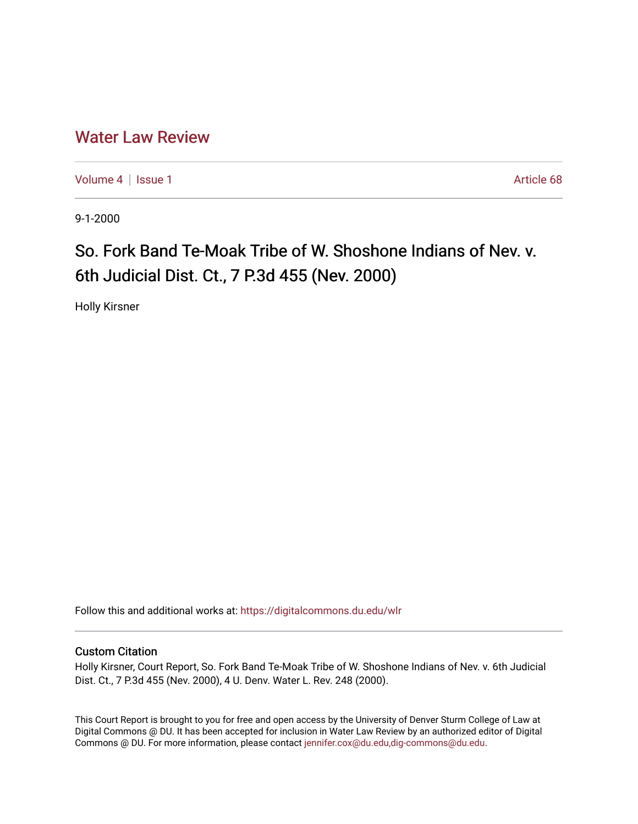## [Water Law Review](https://digitalcommons.du.edu/wlr)

[Volume 4](https://digitalcommons.du.edu/wlr/vol4) | [Issue 1](https://digitalcommons.du.edu/wlr/vol4/iss1) Article 68

9-1-2000

# So. Fork Band Te-Moak Tribe of W. Shoshone Indians of Nev. v. 6th Judicial Dist. Ct., 7 P.3d 455 (Nev. 2000)

Holly Kirsner

Follow this and additional works at: [https://digitalcommons.du.edu/wlr](https://digitalcommons.du.edu/wlr?utm_source=digitalcommons.du.edu%2Fwlr%2Fvol4%2Fiss1%2F68&utm_medium=PDF&utm_campaign=PDFCoverPages) 

### Custom Citation

Holly Kirsner, Court Report, So. Fork Band Te-Moak Tribe of W. Shoshone Indians of Nev. v. 6th Judicial Dist. Ct., 7 P.3d 455 (Nev. 2000), 4 U. Denv. Water L. Rev. 248 (2000).

This Court Report is brought to you for free and open access by the University of Denver Sturm College of Law at Digital Commons @ DU. It has been accepted for inclusion in Water Law Review by an authorized editor of Digital Commons @ DU. For more information, please contact [jennifer.cox@du.edu,dig-commons@du.edu.](mailto:jennifer.cox@du.edu,dig-commons@du.edu)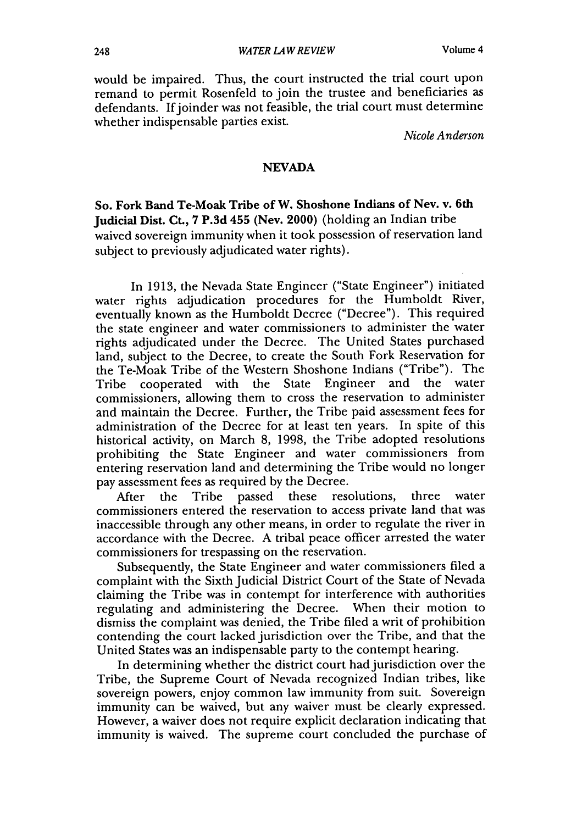would be impaired. Thus, the court instructed the trial court upon remand to permit Rosenfeld to join the trustee and beneficiaries as defendants. If joinder was not feasible, the trial court must determine whether indispensable parties exist.

*Nicole Anderson*

#### **NEVADA**

So. Fork Band Te-Moak Tribe of W. Shoshone Indians of Nev. v. 6th Judicial Dist. Ct., 7 P.3d 455 (Nev. 2000) (holding an Indian tribe waived sovereign immunity when it took possession of reservation land subject to previously adjudicated water rights).

In 1913, the Nevada State Engineer ("State Engineer") initiated water rights adjudication procedures for the Humboldt River, eventually known as the Humboldt Decree ("Decree"). This required the state engineer and water commissioners to administer the water rights adjudicated under the Decree. The United States purchased land, subject to the Decree, to create the South Fork Reservation for the Te-Moak Tribe of the Western Shoshone Indians ("Tribe"). The Tribe cooperated with the State Engineer and the water commissioners, allowing them to cross the reservation to administer and maintain the Decree. Further, the Tribe paid assessment fees for administration of the Decree for at least ten years. In spite of this historical activity, on March 8, 1998, the Tribe adopted resolutions prohibiting the State Engineer and water commissioners from entering reservation land and determining the Tribe would no longer pay assessment fees as required by the Decree.

After the Tribe passed these resolutions, three water commissioners entered the reservation to access private land that was inaccessible through any other means, in order to regulate the river in accordance with the Decree. A tribal peace officer arrested the water commissioners for trespassing on the reservation.

Subsequently, the State Engineer and water commissioners filed a complaint with the Sixth Judicial District Court of the State of Nevada claiming the Tribe was in contempt for interference with authorities regulating and administering the Decree. When their motion to dismiss the complaint was denied, the Tribe filed a writ of prohibition contending the court lacked jurisdiction over the Tribe, and that the United States was an indispensable party to the contempt hearing.

In determining whether the district court had jurisdiction over the Tribe, the Supreme Court of Nevada recognized Indian tribes, like sovereign powers, enjoy common law immunity from suit. Sovereign immunity can be waived, but any waiver must be clearly expressed. However, a waiver does not require explicit declaration indicating that immunity is waived. The supreme court concluded the purchase of